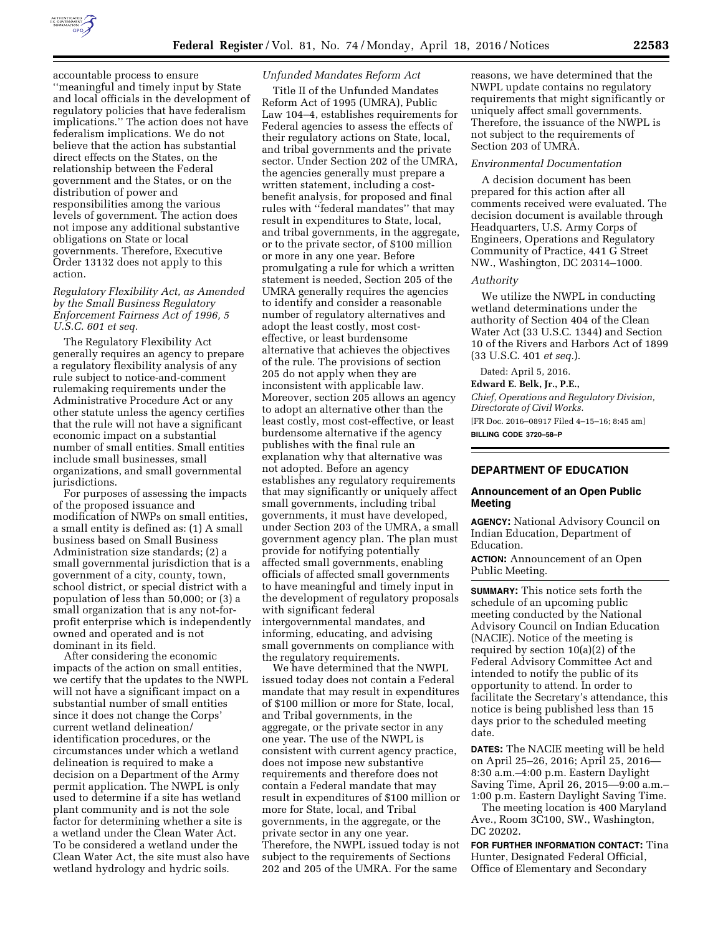

accountable process to ensure ''meaningful and timely input by State and local officials in the development of regulatory policies that have federalism implications.'' The action does not have federalism implications. We do not believe that the action has substantial direct effects on the States, on the relationship between the Federal government and the States, or on the distribution of power and responsibilities among the various levels of government. The action does not impose any additional substantive obligations on State or local governments. Therefore, Executive Order 13132 does not apply to this action.

# *Regulatory Flexibility Act, as Amended by the Small Business Regulatory Enforcement Fairness Act of 1996, 5 U.S.C. 601 et seq.*

The Regulatory Flexibility Act generally requires an agency to prepare a regulatory flexibility analysis of any rule subject to notice-and-comment rulemaking requirements under the Administrative Procedure Act or any other statute unless the agency certifies that the rule will not have a significant economic impact on a substantial number of small entities. Small entities include small businesses, small organizations, and small governmental jurisdictions.

For purposes of assessing the impacts of the proposed issuance and modification of NWPs on small entities, a small entity is defined as: (1) A small business based on Small Business Administration size standards; (2) a small governmental jurisdiction that is a government of a city, county, town, school district, or special district with a population of less than 50,000; or (3) a small organization that is any not-forprofit enterprise which is independently owned and operated and is not dominant in its field.

After considering the economic impacts of the action on small entities, we certify that the updates to the NWPL will not have a significant impact on a substantial number of small entities since it does not change the Corps' current wetland delineation/ identification procedures, or the circumstances under which a wetland delineation is required to make a decision on a Department of the Army permit application. The NWPL is only used to determine if a site has wetland plant community and is not the sole factor for determining whether a site is a wetland under the Clean Water Act. To be considered a wetland under the Clean Water Act, the site must also have wetland hydrology and hydric soils.

### *Unfunded Mandates Reform Act*

Title II of the Unfunded Mandates Reform Act of 1995 (UMRA), Public Law 104–4, establishes requirements for Federal agencies to assess the effects of their regulatory actions on State, local, and tribal governments and the private sector. Under Section 202 of the UMRA, the agencies generally must prepare a written statement, including a costbenefit analysis, for proposed and final rules with ''federal mandates'' that may result in expenditures to State, local, and tribal governments, in the aggregate, or to the private sector, of \$100 million or more in any one year. Before promulgating a rule for which a written statement is needed, Section 205 of the UMRA generally requires the agencies to identify and consider a reasonable number of regulatory alternatives and adopt the least costly, most costeffective, or least burdensome alternative that achieves the objectives of the rule. The provisions of section 205 do not apply when they are inconsistent with applicable law. Moreover, section 205 allows an agency to adopt an alternative other than the least costly, most cost-effective, or least burdensome alternative if the agency publishes with the final rule an explanation why that alternative was not adopted. Before an agency establishes any regulatory requirements that may significantly or uniquely affect small governments, including tribal governments, it must have developed, under Section 203 of the UMRA, a small government agency plan. The plan must provide for notifying potentially affected small governments, enabling officials of affected small governments to have meaningful and timely input in the development of regulatory proposals with significant federal intergovernmental mandates, and informing, educating, and advising small governments on compliance with the regulatory requirements.

We have determined that the NWPL issued today does not contain a Federal mandate that may result in expenditures of \$100 million or more for State, local, and Tribal governments, in the aggregate, or the private sector in any one year. The use of the NWPL is consistent with current agency practice, does not impose new substantive requirements and therefore does not contain a Federal mandate that may result in expenditures of \$100 million or more for State, local, and Tribal governments, in the aggregate, or the private sector in any one year. Therefore, the NWPL issued today is not subject to the requirements of Sections 202 and 205 of the UMRA. For the same

reasons, we have determined that the NWPL update contains no regulatory requirements that might significantly or uniquely affect small governments. Therefore, the issuance of the NWPL is not subject to the requirements of Section 203 of UMRA.

### *Environmental Documentation*

A decision document has been prepared for this action after all comments received were evaluated. The decision document is available through Headquarters, U.S. Army Corps of Engineers, Operations and Regulatory Community of Practice, 441 G Street NW., Washington, DC 20314–1000.

# *Authority*

We utilize the NWPL in conducting wetland determinations under the authority of Section 404 of the Clean Water Act (33 U.S.C. 1344) and Section 10 of the Rivers and Harbors Act of 1899 (33 U.S.C. 401 *et seq.*).

Dated: April 5, 2016.

# **Edward E. Belk, Jr., P.E.,**

*Chief, Operations and Regulatory Division, Directorate of Civil Works.*  [FR Doc. 2016–08917 Filed 4–15–16; 8:45 am] **BILLING CODE 3720–58–P** 

#### **DEPARTMENT OF EDUCATION**

### **Announcement of an Open Public Meeting**

**AGENCY:** National Advisory Council on Indian Education, Department of Education.

**ACTION:** Announcement of an Open Public Meeting.

**SUMMARY:** This notice sets forth the schedule of an upcoming public meeting conducted by the National Advisory Council on Indian Education (NACIE). Notice of the meeting is required by section 10(a)(2) of the Federal Advisory Committee Act and intended to notify the public of its opportunity to attend. In order to facilitate the Secretary's attendance, this notice is being published less than 15 days prior to the scheduled meeting date.

**DATES:** The NACIE meeting will be held on April 25–26, 2016; April 25, 2016— 8:30 a.m.–4:00 p.m. Eastern Daylight Saving Time, April 26, 2015—9:00 a.m.– 1:00 p.m. Eastern Daylight Saving Time.

The meeting location is 400 Maryland Ave., Room 3C100, SW., Washington, DC 20202.

**FOR FURTHER INFORMATION CONTACT:** Tina Hunter, Designated Federal Official, Office of Elementary and Secondary